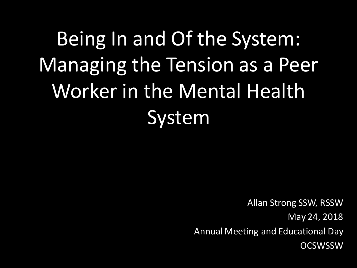# Being In and Of the System: Managing the Tension as a Peer Worker in the Mental Health System

Allan Strong SSW, RSSW May 24, 2018 Annual Meeting and Educational Day **OCSWSSW**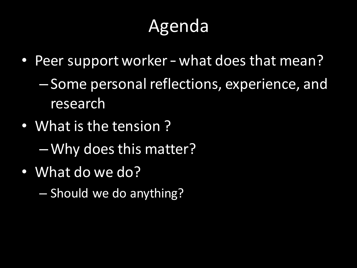#### Agenda

- Peer support worker what does that mean? – Some personal reflections, experience, and research
- What is the tension ? –Why does this matter?
- What do we do?
	- Should we do anything?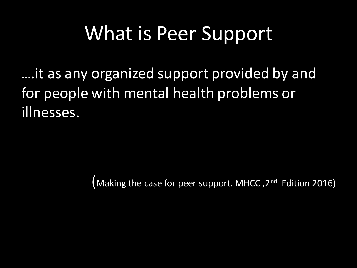# What is Peer Support

….it as any organized support provided by and for people with mental health problems or illnesses.

(Making the case for peer support. MHCC ,2nd Edition 2016)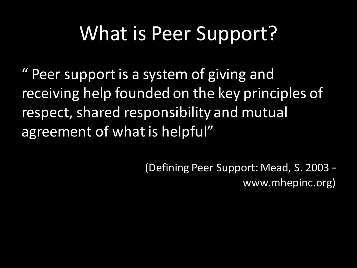# What is Peer Support?

" Peer support is a system of giving and receiving help founded on the key principles of respect, shared responsibility and mutual agreement of what is helpful"

> (Defining Peer Support: Mead, S. 2003 – www.mhepinc.org)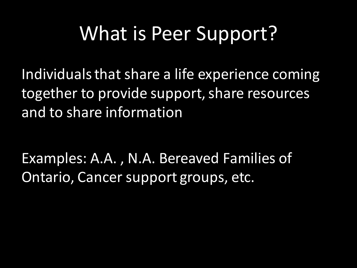# What is Peer Support?

Individuals that share a life experience coming together to provide support, share resources and to share information

Examples: A.A. , N.A. Bereaved Families of Ontario, Cancer support groups, etc.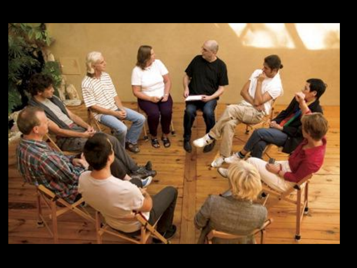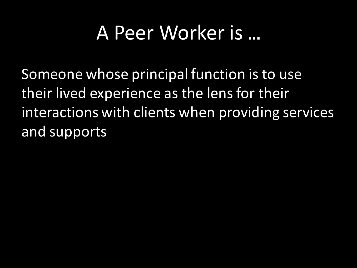#### A Peer Worker is …

Someone whose principal function is to use their lived experience as the lens for their interactions with clients when providing services and supports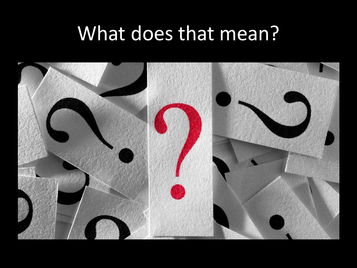#### What does that mean?

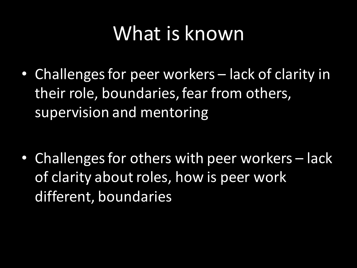#### What is known

• Challenges for peer workers – lack of clarity in their role, boundaries, fear from others, supervision and mentoring

• Challenges for others with peer workers – lack of clarity about roles, how is peer work different, boundaries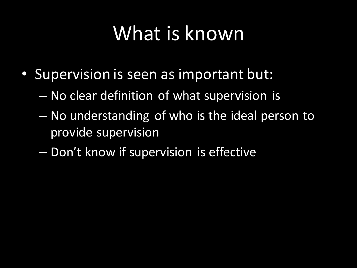# What is known

- Supervision is seen as important but:
	- No clear definition of what supervision is
	- No understanding of who is the ideal person to provide supervision
	- Don't know if supervision is effective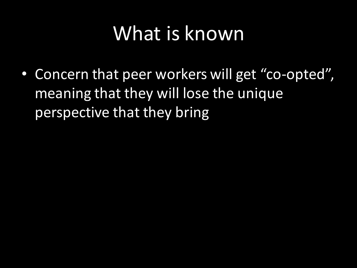#### What is known

• Concern that peer workers will get "co-opted", meaning that they will lose the unique perspective that they bring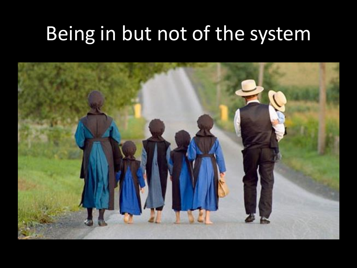# Being in but not of the system

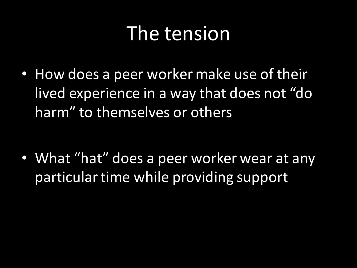# The tension

• How does a peer worker make use of their lived experience in a way that does not "do harm" to themselves or others

• What "hat" does a peer worker wear at any particular time while providing support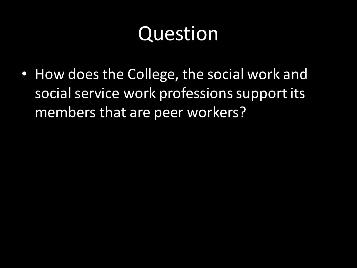# Question

• How does the College, the social work and social service work professions support its members that are peer workers?